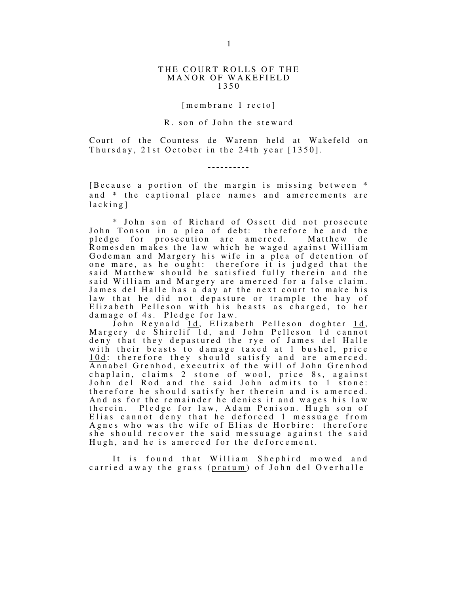#### THE COURT ROLLS OF THE MANOR OF WAKEFIELD 1 3 5 0

## $[memberane 1 recto]$

## R. son of John the steward

Court of the Countess de Warenn held at Wakefeld on Thursday,  $21st$  October in the  $24th$  year  $[1350]$ .

# **- - - - - - - - - -**

[Because a portion of the margin is missing between  $*$ and \* the captional place names and amercements are  $l$  a c k i n g ]

\* John son of Richard of Ossett did not prosecute<br>Tonson in a plea of debt: therefore he and the John Tonson in a plea of debt: pledge for prosecution are amerced. Matthew de Romesden makes the law which he waged against William Godeman and Margery his wife in a plea of detention of one mare, as he ought: therefore it is judged that the said Matthew should be satisfied fully therein and the said William and Margery are amerced for a false claim. James del Halle has a day at the next court to make his law that he did not depasture or trample the hay of Elizabeth Pelleson with his beasts as charged, to her damage of 4s. Pledge for law.

John Reynald 1d, Elizabeth Pelleson doghter 1d, Margery de Shirclif <u>1d</u>, and John Pelleson <u>1d</u> cannot deny that they depastured the rye of James del Halle with their beasts to damage taxed at 1 bushel, price 10d: therefore they should satisfy and are amerced. Annabel Grenhod, executrix of the will of John Grenhod chaplain, claims 2 stone of wool, price 8s, against John del Rod and the said John admits to 1 stone: therefore he should satisfy her therein and is amerced. And as for the remainder he denies it and wages his law therein. Pledge for law, Adam Penison. Hugh son of Elias cannot deny that he deforced 1 messuage from Agnes who was the wife of Elias de Horbire: therefore she should recover the said messuage against the said Hugh, and he is amerced for the deforcement.

It is found that William Shephird mowed and carried away the grass (pratum) of John del Overhalle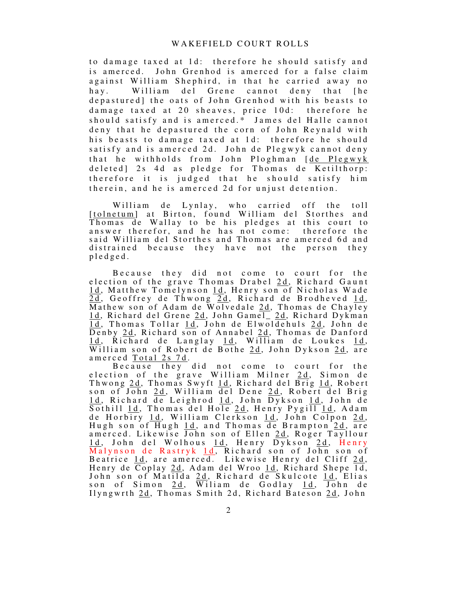to damage taxed at 1d: therefore he should satisfy and is amerced. John Grenhod is amerced for a false claim against William Shephird, in that he carried away no hay. William del Grene cannot deny that [he depastured] the oats of John Grenhod with his beasts to damage taxed at 20 sheaves, price 10d: therefore he should satisfy and is amerced.\* James del Halle cannot deny that he depastured the corn of John Reynald with his beasts to damage taxed at 1d: therefore he should satisfy and is amerced 2d. John de Plegwyk cannot deny that he withholds from John Ploghman [de Plegwyk] deleted] 2s 4d as pledge for Thomas de Ketilthorp: therefore it is judged that he should satisfy him therein, and he is amerced 2d for unjust detention.

William de Lynlay, who carried off the toll [tolnetum] at Birton, found William del Storthes and Thomas de Wallay to be his pledges at this court to answer therefor, and he has not come: therefore the said William del Storthes and Thomas are amerced 6d and distrained because they have not the person they p l e d g e d .

Because they did not come to court for the election of the grave Thomas Drabel 2d, Richard Gaunt 1d, Matthew Tomelynson 1d, Henry son of Nicholas Wade 2d, Geoffrey de Thwong 2d, Richard de Brodheved 1d, Mathew son of Adam de Wolvedale 2d, Thomas de Chayley 1d, Richard del Grene 2d, John Gamel\_2d, Richard Dykman 1d, Thomas Tollar 1d, John de Elwoldehuls 2d, John de Denby 2d, Richard son of Annabel 2d, Thomas de Danford 1d, Richard de Langlay 1d, William de Loukes 1d, William son of Robert de Bothe  $2d$ , John Dykson  $2d$ , are amerced Total 2s 7d.

Because they did not come to court for the election of the grave William Milner 2d, Simon de Thwong <u>2d</u>, Thomas Swyft <u>1d</u>, Richard del Brig <u>1d</u>, Robert son of John <u>2d</u>, William del Dene <u>2d</u>, Robert del Brig <u>1d</u>, Richard de Leighrod <u>1d</u>, John Dykson <u>1d</u>, John de Sothill <u>1d</u>, Thomas del Hole <u>2d</u>, Henry Pygill <u>1d</u>, Adam de Horbiry <u>1d</u>, William Clerkson <u>1d</u>, John Colpon <u>2d</u>, Hugh son of Hugh 1d, and Thomas de Brampton 2d, are amerced. Likewise John son of Ellen 2d, Roger Tayllour 1d, John del Wolhous 1d, Henry Dykson 2d, Henry Malynson de Rastryk <u>1d</u>, Richard son of John son of Beatrice <u>1d</u>, are amerced. Likewise Henry del Cliff 2d, Henry de  $\overline{Co}$ play 2d, Adam del Wroo 1d, Richard Shepe  $\overline{1d}$ , John son of Matilda 2d, Richard de Skulcote 1d, Elias son of Simon 2d, Wiliam de Godlay 1d, John de Ilyngwrth 2d, Thomas Smith 2d, Richard Bateson 2d, John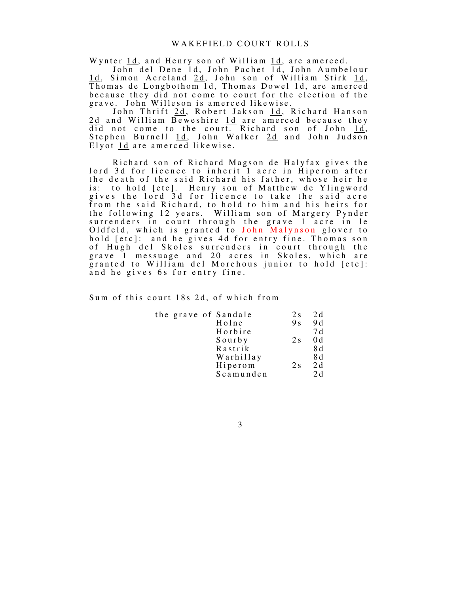Wynter 1d, and Henry son of William 1d, are amerced.

John del Dene 1d, John Pachet 1d, John Aumbelour 1d, Simon Acreland 2d, John son of William Stirk 1d, Thomas de Longbothom  $\overline{1d}$ , Thomas Dowel 1d, are amerced because they did not come to court for the election of the grave. John Willeson is amerced likewise.

John Thrift 2d, Robert Jakson 1d, Richard Hanson 2d and William Beweshire 1d are amerced because they did not come to the court. Richard son of John 1d, Stephen Burnell 1d, John Walker 2d and John Judson Elyot 1d are amerced likewise.

Richard son of Richard Magson de Halyfax gives the lord 3d for licence to inherit 1 acre in Hiperom after the death of the said Richard his father, whose heir he is: to hold [etc]. Henry son of Matthew de Ylingword gives the lord 3d for licence to take the said acre from the said Richard, to hold to him and his heirs for the following 12 years. William son of Margery Pynder surrenders in court through the grave 1 acre in le Oldfeld, which is granted to John Malynson glover to hold [etc]: and he gives 4d for entry fine. Thomas son of Hugh del Skoles surrenders in court through the grave 1 messuage and 20 acres in Skoles, which are granted to William del Morehous junior to hold [etc]: and he gives 6s for entry fine.

Sum of this court 18s 2d, of which from

| the grave of Sandale | 2s             | 2d  |
|----------------------|----------------|-----|
| Holne                | 9 <sub>s</sub> | 9 d |
| Horbire              |                | 7 d |
| Sourby               | 2s             | 0d  |
| Rastrik              |                | 8 d |
| Warhillay            |                | 8 d |
| Hiperom              | 2s             | 2d  |
| Scamunden            |                | 2d  |

3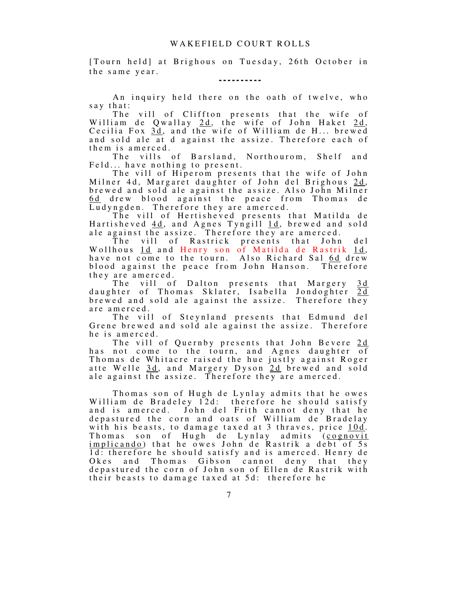[Tourn held] at Brighous on Tuesday, 26th October in the same year.

**- - - - - - - - - -** 

An inquiry held there on the oath of twelve, who say that:

The vill of Cliffton presents that the wife of William de Qwallay 2d, the wife of John Haket 2d, Cecilia Fox 3d, and the wife of William de H... brewed and sold ale at d against the assize. Therefore each of them is amerced.

The vills of Barsland, Northourom, Shelf and Feld... have nothing to present.

The vill of Hiperom presents that the wife of John Milner 4d, Margaret daughter of John del Brighous 2d, brewed and sold ale against the assize. Also John Milner 6d drew blood against the peace from Thomas de Ludyngden. Therefore they are amerced.

The vill of Hertisheved presents that Matilda de Hartisheved 4d, and Agnes Tyngill 1d, brewed and sold ale against the assize. Therefore they are amerced.

The vill of Rastrick presents that John del Wollhous <u>1d</u> and Henry son of Matilda de Rastrik <u>1d</u>, have not come to the tourn. Also Richard Sal 6d drew blood against the peace from John Hanson. Therefore they are amerced.<br>The vill of

vill of Dalton presents that Margery 3d daughter of Thomas Sklater, Isabella Jondoghter 2d brewed and sold ale against the assize. Therefore they are amerced.

The vill of Steynland presents that Edmund del Grene brewed and sold ale against the assize. Therefore he is amerced.

The vill of Quernby presents that John Bevere 2d has not come to the tourn, and Agnes daughter of Thomas de Whitacre raised the hue justly against Roger atte Welle 3d, and Margery Dyson 2d brewed and sold ale against the assize. Therefore they are amerced.

Thomas son of Hugh de Lynlay admits that he owes William de Bradeley 12d: therefore he should satisfy and is amerced. John del Frith cannot deny that he depastured the corn and oats of William de Bradelay with his beasts, to damage taxed at 3 thraves, price 10d. Thomas son of Hugh de Lynlay admits  $(cognovit)$ implicando) that he owes John de Rastrik a debt of 5s 1d: therefore he should satisfy and is amerced. Henry de Okes and Thomas Gibson cannot deny that they Thomas Gibson cannot deny that they depastured the corn of John son of Ellen de Rastrik with their beasts to damage taxed at 5d: therefore he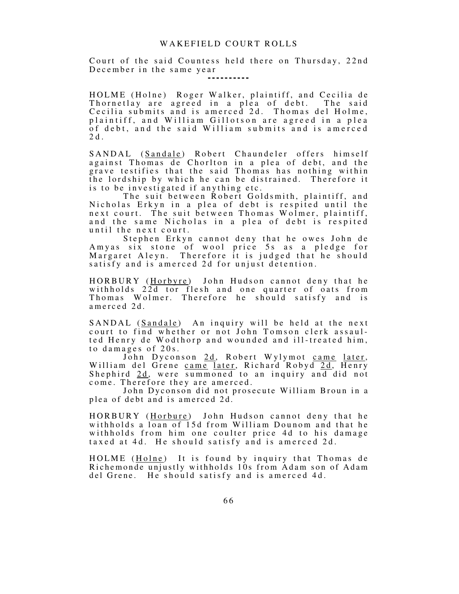## WAKEFIELD COURT ROLLS

Court of the said Countess held there on Thursday, 22nd December in the same year

**- - - - - - - - - -** 

HOLME (Holne) Roger Walker, plaintiff, and Cecilia de Thornetlay are agreed in a plea of debt. The said Cecilia submits and is amerced 2d. Thomas del Holme, plaintiff, and William Gillotson are agreed in a plea of debt, and the said William submits and is amerced 2 d .

SANDAL (Sandale) Robert Chaundeler offers himself against Thomas de Chorlton in a plea of debt, and the grave testifies that the said Thomas has nothing within the lordship by which he can be distrained. Therefore it is to be investigated if anything etc.

The suit between Robert Goldsmith, plaintiff, and Nicholas Erkyn in a plea of debt is respited until the next court. The suit between Thomas Wolmer, plaintiff, and the same Nicholas in a plea of debt is respited until the next court.

Stephen Erkyn cannot deny that he owes John de Amyas six stone of wool price 5s as a pledge for Margaret Aleyn. Therefore it is judged that he should satisfy and is amerced 2d for unjust detention.

HORBURY (<u>Horbyre</u>) John Hudson cannot deny that he withholds 22d tor flesh and one quarter of oats from Thomas Wolmer. Therefore he should satisfy and is amerced 2d.

SANDAL (Sandale) An inquiry will be held at the next court to find whether or not John Tomson clerk assaulted Henry de Wodthorp and wounded and ill-treated him, to damages of  $20s$ .

John Dyconson 2d, Robert Wylymot came later, William del Grene came later, Richard Robyd 2d, Henry Shephird 2d, were summoned to an inquiry and did not come. Therefore they are amerced.

John Dyconson did not prosecute William Broun in a plea of debt and is amerced 2d.

HORBURY (Horbure) John Hudson cannot deny that he withholds a loan of 15d from William Dounom and that he withholds from him one coulter price 4d to his damage taxed at 4d. He should satisfy and is amerced 2d.

HOLME (Holne) It is found by inquiry that Thomas de Richemonde unjustly withholds 10s from Adam son of Adam del Grene. He should satisfy and is amerced 4d.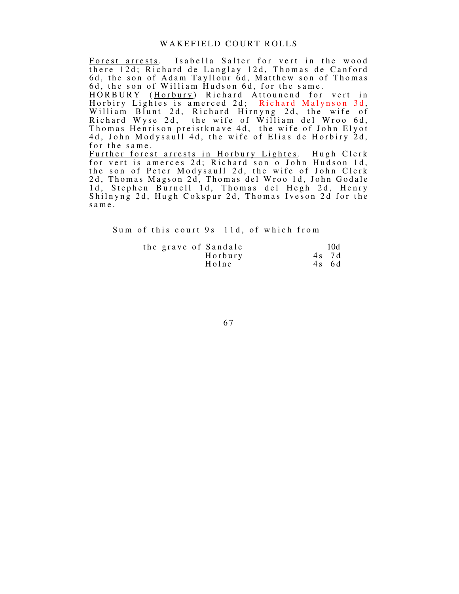# WAKEFIELD COURT ROLLS

Forest arrests. Isabella Salter for vert in the wood there 12d; Richard de Langlay 12d, Thomas de Canford 6d, the son of Adam Tayllour 6d, Matthew son of Thomas 6d, the son of William Hudson 6d, for the same. H O R B U R Y (Horbury) Richard Attounend for vert in Horbiry Lightes is amerced 2d; Richard Malynson 3d, William Blunt 2d, Richard Hirnyng 2d, the wife of Richard Wyse 2d, the wife of William del Wroo 6d, Thomas Henrison preistknave 4d, the wife of John Elyot 4d, John Modysaull 4d, the wife of Elias de Horbiry 2d, for the same. <u>Further forest arrests in Horbury Lightes</u>. Hugh Clerk for vert is amerces 2d; Richard son o John Hudson 1d, the son of Peter Modysaull 2d, the wife of John Clerk 2d, Thomas Magson 2d, Thomas del Wroo 1d, John Godale 1d, Stephen Burnell 1d, Thomas del Hegh 2d, Henry Shilnyng 2d, Hugh Cokspur 2d, Thomas Iveson 2d for the s a m e .

Sum of this court 9s 11d, of which from

|  | the grave of Sandale | 10d     |
|--|----------------------|---------|
|  | Horbury              | 4s 7d   |
|  | Holne                | $4s$ 6d |

6 7